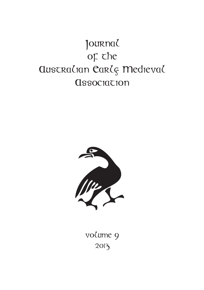# Journal OF the **AUSTRALIAN CARLS Medieval Association**



volume 9 2013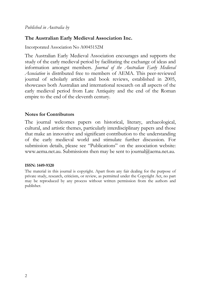*Published in Australia by* 

#### **The Australian Early Medieval Association Inc.**

Incorporated Association No A0045152M

The Australian Early Medieval Association encourages and supports the study of the early medieval period by facilitating the exchange of ideas and information amongst members. *Journal of the Australian Early Medieval Association* is distributed free to members of AEMA. This peer-reviewed journal of scholarly articles and book reviews, established in 2005, showcases both Australian and international research on all aspects of the early medieval period from Late Antiquity and the end of the Roman empire to the end of the eleventh century.

#### **Notes for Contributors**

The journal welcomes papers on historical, literary, archaeological, cultural, and artistic themes, particularly interdisciplinary papers and those that make an innovative and significant contribution to the understanding of the early medieval world and stimulate further discussion. For submission details, please see "Publications" on the association website: www.aema.net.au. Submissions then may be sent to journal@aema.net.au.

#### **ISSN: 1449-9320**

The material in this journal is copyright. Apart from any fair dealing for the purpose of private study, research, criticism, or review, as permitted under the Copyright Act, no part may be reproduced by any process without written permission from the authors and publisher.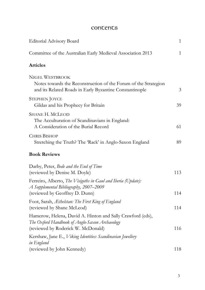### concents

| Editorial Advisory Board                                                                                                                             | 1            |
|------------------------------------------------------------------------------------------------------------------------------------------------------|--------------|
| Committee of the Australian Early Medieval Association 2013                                                                                          | $\mathbf{1}$ |
| <b>Articles</b>                                                                                                                                      |              |
| <b>NIGEL WESTBROOK</b><br>Notes towards the Reconstruction of the Forum of the Strategion<br>and its Related Roads in Early Byzantine Constantinople | 3            |
| STEPHEN JOYCE<br>Gildas and his Prophecy for Britain                                                                                                 | 39           |
| <b>SHANE H. MCLEOD</b><br>The Acculturation of Scandinavians in England:<br>A Consideration of the Burial Record                                     | 61           |
| <b>CHRIS BISHOP</b><br>Stretching the Truth? The 'Rack' in Anglo-Saxon England                                                                       | 89           |
| <b>Book Reviews</b>                                                                                                                                  |              |
| Darby, Peter, Bede and the End of Time<br>(reviewed by Denise M. Doyle)                                                                              | 113          |
| Ferreiro, Alberto, The Visigoths in Gaul and Iberia (Update):<br>A Supplemental Bibliography, 2007-2009<br>(reviewed by Geoffrey D. Dunn)            | 114          |
| Foot, Sarah, <i>Ethelstan: The First King of England</i><br>(reviewed by Shane McLeod)                                                               | 114          |
| Hamerow, Helena, David A. Hinton and Sally Crawford (eds),<br>The Oxford Handbook of Anglo-Saxon Archaeology<br>(reviewed by Roderick W. McDonald)   | 116          |
| Kershaw, Jane E., Viking Identities: Scandinavian Jewellery<br>in England<br>(reviewed by John Kennedy)                                              | 118          |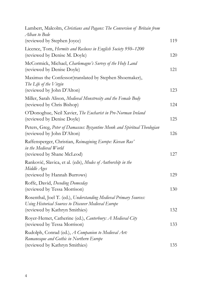| Lambert, Malcolm, Christians and Pagans: The Conversion of Britain from<br>Alban to Bede                                                                    |     |
|-------------------------------------------------------------------------------------------------------------------------------------------------------------|-----|
| (reviewed by Stephen Joyce)                                                                                                                                 | 119 |
| Licence, Tom, Hermits and Recluses in English Society 950-1200<br>(reviewed by Denise M. Doyle)                                                             | 120 |
| McCormick, Michael, Charlemagne's Survey of the Holy Land<br>(reviewed by Denise Doyle)                                                                     | 121 |
| Maximus the Confessor(translated by Stephen Shoemaker),<br>The Life of the Virgin<br>(reviewed by John D'Alton)                                             | 123 |
| Miller, Sarah Alison, Medieval Monstrosity and the Female Body<br>(reviewed by Chris Bishop)                                                                | 124 |
| O'Donoghue, Neil Xavier, The Eucharist in Pre-Norman Ireland<br>(reviewed by Denise Doyle)                                                                  | 125 |
| Peters, Greg, Peter of Damascus: Byzantine Monk and Spiritual Theologian<br>(reviewed by John D'Alton)                                                      | 126 |
| Raffensperger, Christian, Reimagining Europe: Kievan Rus'<br>in the Medieval World<br>(reviewed by Shane McLeod)                                            | 127 |
| Ranković, Slavica, et al. (eds), Modes of Authorship in the<br>Middle Ages                                                                                  |     |
| (reviewed by Hannah Burrows)                                                                                                                                | 129 |
| Roffe, David, Decoding Domesday<br>(reviewed by Tessa Morrison)                                                                                             | 130 |
| Rosenthal, Joel T. (ed.), Understanding Medieval Primary Sources:<br>Using Historical Sources to Discover Medieval Europe<br>(reviewed by Kathryn Smithies) | 132 |
| Royer-Hemet, Catherine (ed.), Canterbury: A Medieval City<br>(reviewed by Tessa Morrison)                                                                   | 133 |
| Rudolph, Conrad (ed.), A Companion to Medieval Art:<br>Romanesque and Gothic in Northern Europe                                                             |     |
| (reviewed by Kathryn Smithies)                                                                                                                              | 135 |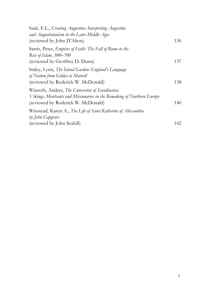| Saak, E.L., Creating Augustine: Interpreting Augustine<br>and Augustinianism in the Later Middle Ages                                                           |     |
|-----------------------------------------------------------------------------------------------------------------------------------------------------------------|-----|
| (reviewed by John D'Alton)                                                                                                                                      | 136 |
| Sarris, Peter, Empires of Faith: The Fall of Rome to the<br>Rise of Islam, 500-700                                                                              | 137 |
| (reviewed by Geoffrey D. Dunn)                                                                                                                                  |     |
| Staley, Lynn, The Island Garden: England's Language<br>of Nation from Gildas to Marvell<br>(reviewed by Roderick W. McDonald)                                   | 138 |
| Winroth, Anders, The Conversion of Scandinavia:<br>Vikings, Merchants and Missionaries in the Remaking of Northern Europe<br>(reviewed by Roderick W. McDonald) | 140 |
| Winstead, Karen A., The Life of Saint Katherine of Alexandria<br>by John Capgrave                                                                               |     |
| (reviewed by John Scahill)                                                                                                                                      | 142 |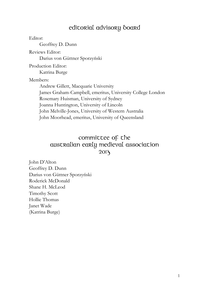# edicorial advisory board

Editor: Geoffrey D. Dunn Reviews Editor: Darius von Güttner Sporzyński Production Editor: Katrina Burge Members: Andrew Gillett, Macquarie University James Graham-Campbell, emeritus, University College London Rosemary Huisman, University of Sydney Joanna Huntington, University of Lincoln John Melville-Jones, University of Western Australia John Moorhead, emeritus, University of Queensland

# committee of the australian early medieval association 2013

John D'Alton Geoffrey D. Dunn Darius von Güttner Sporzyński Roderick McDonald Shane H. McLeod Timothy Scott Hollie Thomas Janet Wade (Katrina Burge)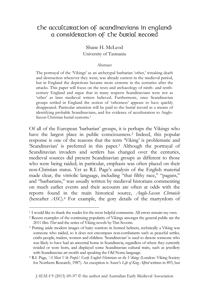## the acculturation of scandinavians in england: a consideration of the burial record

Shane H. McLeod University of Tasmania

#### Abstract

The portrayal of the 'Vikings' as an archetypal barbarian 'other,' wreaking death and destruction wherever they went, was already current in the medieval period, but in England the depictions became more extreme in the centuries after the attacks. This paper will focus on the texts and archaeology of ninth- and tenthcentury England and argue that in many respects Scandinavians were not as 'other' as later medieval writers believed. Furthermore, once Scandinavian groups settled in England the notion of 'otherness' appears to have quickly disappeared. Particular attention will be paid to the burial record as a means of identifying probable Scandinavians, and for evidence of acculturation to Anglo-Saxon Christian burial customs.1

Of all of the European 'barbarian' groups, it is perhaps the Vikings who have the largest place in public consciousness.<sup>2</sup> Indeed, this popular response is one of the reasons that the term 'Viking' is problematic and 'Scandinavian' is preferred in this paper.3 Although the portrayal of Scandinavian invaders and settlers has changed over the centuries, medieval sources did present Scandinavian groups as different to those who were being raided; in particular, emphasis was often placed on their non-Christian status. Yet as R.I. Page's analysis of the English material made clear, the vitriolic language, including "that filthy race," "pagans," and "barbarians," was usually written by medieval historians commenting on much earlier events and their accounts are often at odds with the reports found in the main historical source, *Anglo-Saxon Chronicle*  (hereafter *ASC*).4 For example, the gory details of the martyrdom of

<sup>&</sup>lt;sup>1</sup> I would like to thank the reader for the most helpful comments. All errors remain my own.

<sup>2</sup> Recent examples of the continuing popularity of Vikings amongst the general public are the 2011 film *Thor* and the series of Viking novels by Tim Severin. 3 Putting aside modern images of hairy warriors in horned helmets, technically a Viking was

someone who raided, so it does not encompass non-combatants such as peaceful settles, crafts-people, traders, women and children. 'Scandinavian' is used to denote someone who was likely to have had an ancestral home in Scandinavia, regardless of where they currently resided or were born, and displayed some Scandinavian cultural traits, such as jewellery with Scandinavian art motifs and speaking the Old Norse language.

<sup>4</sup> R.I. Page, *'A Most Vile People': Early English Historians on the Vikings* (London: Viking Society for Northern Research, 1987). An exception is Asser's *Life of King Alfred* written in 893, but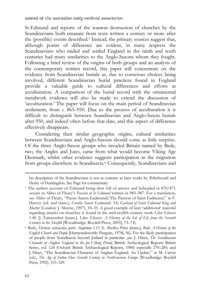St Edmund and reports of the wanton destruction of churches by the Scandinavians both emanate from texts written a century or more after the (possible) events described.5 Instead, the primary sources suggest that, although points of difference are evident, in many respects the Scandinavians who raided and settled England in the ninth and tenth centuries had many similarities to the Anglo-Saxons whom they fought. Following a brief review of the origins of both groups and an analysis of the contemporary written record, this paper will concentrate on the evidence from Scandinavian burials as, due to conscious choices being involved, different Scandinavian burial practices found in England provide a valuable guide to cultural differences and efforts at acculturation. A comparison of the burial record with the ornamental metalwork evidence will also be made to extend the discussion of 'acculturation.' The paper will focus on the main period of Scandinavian settlement, from  $\epsilon$ ,  $865-950$ . Due to the process of acculturation it is difficult to distinguish between Scandinavian and Anglo-Saxon burials after 950, and indeed often before that date, and this aspect of difference effectively disappears.

Considering their similar geographic origins, cultural similarities between Scandinavians and Anglo-Saxons should come as little surprise. Of the three Anglo-Saxon groups who invaded Britain named by Bede, two, the Angles and Jutes, came from what would become Viking Age Denmark, whilst other evidence suggests participation in the migration from groups elsewhere in Scandinavia.6 Consequently, Scandinavians and

*English Church and People* [Harmondsworth: Penguin, 1978], 56). For the likely participation of people from Scandinavia beyond Jutland in particular ,see J. Hines, *The Scandinavian Character of Anglian England in the pre-Viking Period*, British Archeological Reports British Series, vol. 124 (Oxford: British Archaeological Reports, 1984) especially 270–285; and J. Hines, "The Scandinavian Character of Anglian England: An Update," in M. Carver (ed.), *The Age of Sutton Hoo: Seventh Century in North-western Europe* (Woodbridge: Boydell Press, 1992), 315–329.

 $\ddot{ }$ 

his description of the Scandinavians is not as extreme as later works by Æthelweard and Henry of Huntingdon. See Page for commentary.

<sup>5</sup> The earliest account of Edmund being shot full of arrows and beheaded in 870/871 occurs in Abbo of Fleury's *Passion of St Edmund* written in 985–987. For a translation, see Abbo of Fleury, "Passio Sancti Eadmundi/The Passion of Saint Eadmund," in F. Hervey (ed. and trans.), *Corolla Sancti Eadmundi: The Garland of Saint Edmund King and Martyr* (London: J. Murray, 1907), 18–35. A good example of later 'additional' material regarding attacks on churches is found in the mid-twelfth century work *Liber Eliensis* 1.40 (J. Fairweather [trans.], *Liber Eliensis: A History of the Isle of Ely from the Seventh Century to the Twelfth* [Woodbridge: Boydell Press, 2005], 73–74). 6 Bede, *Historia ecclesiastica gentis Anglorum* 1.15 (L. Sherley-Price [trans.], *Bede: A History of the*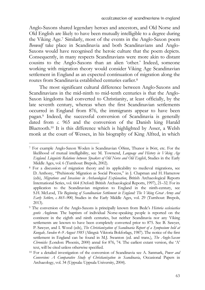Anglo-Saxons shared legendary heroes and ancestors, and Old Norse and Old English are likely to have been mutually intelligible to a degree during the Viking Age.7 Similarly, most of the events in the Anglo-Saxon poem *Beowulf* take place in Scandinavia and both Scandinavians and Anglo-Saxons would have recognised the heroic culture that the poem depicts. Consequently, in many respects Scandinavians were more akin to distant cousins to the Anglo-Saxons than an alien 'other.' Indeed, someone working with migration theory would consider Viking Age Scandinavian settlement in England as an expected continuation of migration along the routes from Scandinavia established centuries earlier.8

The most significant cultural difference between Anglo-Saxons and Scandinavians in the mid-ninth to mid-tenth centuries is that the Anglo-Saxon kingdoms had converted to Christianity, at least officially, by the late seventh century, whereas when the first Scandinavian settlements occurred in England from 876, the immigrants appear to have been pagan.9 Indeed, the successful conversion of Scandinavia is generally dated from *c*. 965 and the conversion of the Danish king Harald Bluetooth.10 It is this difference which is highlighted by Asser, a Welsh monk at the court of Wessex, in his biography of King Alfred, in which

<sup>7</sup> For example Anglo-Saxon Woden is Scandinavian Óðinn, Thunor is Þórr, etc. For the likelihood of mutual intelligibility, see M. Townend, *Language and History in Viking Age England. Linguistic Relations between Speakers of Old Norse and Old English*, Studies in the Early Middle Ages, vol. 6 (Turnhout: Brepols, 2002).

<sup>8</sup> For a discussion of migration theory and its applicability to medieval migrations, see D. Anthony, "Prehistoric Migration as Social Process," in J. Chapman and H. Hamerow (eds), *Migrations and Invasions in Archaeological Explanation*, British Archaeological Reports International Series, vol. 664 (Oxford: British Archaeological Reports, 1997), 21–32. For its application to the Scandinavian migration to England in the ninth-century, see S.H. McLeod, *The Beginning of Scandinavian Settlement in England: The Viking Great Army and Early Settlers, c. 865–900*, Studies in the Early Middle Ages, vol. 29 (Turnhout: Brepols, 2013).

<sup>9</sup> The conversion of the Anglo-Saxons is principally known from Bede's *Historia ecclesiastica gentis Anglorum*. The baptism of individual Norse-speaking people is reported on the continent in the eighth and ninth centuries, but neither Scandinavia nor any Viking settlements are known to have been completely converted prior to 875. See B. Sawyer, P. Sawyer, and I. Wood (eds), *The Christianization of Scandinavia Report of a Symposium held at Kungalv, Sweden 4–9 August 1985* (Alingså: Viktoria Bokforlags, 1987). The notice of the first settlement in England can be found in M.J. Swanton (ed. and trans.), *The Anglo-Saxon Chronicles* (London: Phoenix, 2000) annal for 876, 74. The earliest extant version, the 'A' text, will be cited unless otherwise specified.

<sup>10</sup> For a detailed investigation of the conversion of Scandinavia see A. Sanmark, *Power and Conversion: A Comparative Study of Christianization in Scandinavia*, Occasional Papers in Archaeology, vol. 34 (Uppsala: Uppsala University, 2004).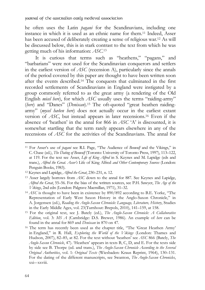he often uses the Latin *pagani* for the Scandinavians, including one instance in which it is used as an ethnic name for them.11 Indeed, Asser has been accused of deliberately creating a sense of religious war.12 As will be discussed below, this is in stark contrast to the text from which he was getting much of his information: *ASC*. 13

It is curious that terms such as "heathens," "pagans," and "barbarians" were not used for the Scandinavian conquerors and settlers in the earliest version of *ASC* (recension A), particularly since the annals of the period covered by this paper are thought to have been written soon after the events described.14 The conquests that culminated in the first recorded settlements of Scandinavians in England were instigated by a group commonly referred to as the great army (a rendering of the Old English *micel here*), for which *ASC* usually uses the terms "raiding-army" (*here*) and "Danes" (*Deniscan*).15 The oft-quoted "great heathen raidingarmy" (*mycel hæðen here*) does not actually occur in the earliest extant version of *ASC*, but instead appears in later recensions.16 Even if the absence of 'heathen' in the annal for 866 in *ASC* 'A' is discounted, it is somewhat startling that the term rarely appears elsewhere in any of the recensions of *ASC* for the activities of the Scandinavians. The annal for

 $\overline{a}$ 

<sup>11</sup> For Asser's use of *pagani* see R.I. Page, "The Audience of *Beowulf* and the Vikings," in C. Chase (ed.), *The Dating of Beowulf* (Toronto: University of Toronto Press, 1997), 113–122, at 119. For the text see Asser, *Life of King Alfred* in S. Keynes and M. Lapidge (eds and trans.), *Alfred the Great. Asser's* Life of King Alfred *and Other Contemporary Sources* (London: Penguin Books, 1983).

<sup>12</sup> Keynes and Lapidge, *Alfred the Great*, 230–231, n. 12. 13 Asser largely borrows from *ASC* down to the annal for 887. See Keynes and Lapidge, *Alfred the Great*, 55–56. For the bias of the written sources, see P.H. Sawyer, *The Age of the Vikings*, 2nd edn (London: Palgrave Macmillan, 1971), 31–32.<br><sup>14</sup> *ASC* is thought to have been in existence by 890/892 according to B.E. Yorke, "The

Representation of Early West Saxon History in the Anglo-Saxon Chronicle," in A. Jorgensen (ed.), *Reading the Anglo-Saxon Chronicle: Language, Literature, History*, Studies in the Early Middle Ages, vol. 23(Turnhout: Brepols, 2010), 141–159, at 158. 15 For the original text, see J. Bately (ed.), *The Anglo-Saxon Chronicle: A Collaborative* 

*Edition*, vol. 3: *MS A* (Cambridge: D.S. Brewer, 1986). An example of *here* can be found in the annal for 869 and *Deniscan* in 870 on 47. 16 The term has recently been used as the chapter title, "The 'Great Heathen Army'

in England," in R. Hall, *Exploring the World of the Vikings* (London: Thames and Hudson, 2007), 82–85, at 82. For the text without 'heathen' see *ASC* 866 (Bately, *The Anglo-Saxon Chronicle*, 47). 'Heathen' appears in texts B, C, D, and E. For the texts side by side see B. Thorpe (ed. and trans.), *The Anglo-Saxon Chronicle According to the Several Original Authorities*, vol. 1: *Original Texts* (Wiesbaden: Kraus Reprint, 1964), 130–131. For the dating of the different manuscripts, see Swanton, *The Anglo-Saxon Chronicles*, xxi–-xxviii.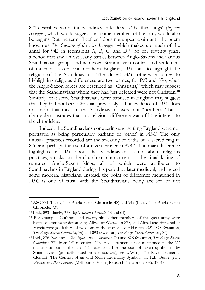871 describes two of the Scandinavian leaders as "heathen kings" (*hęþnan cyningas*), which would suggest that some members of the army would also be pagans. But the term "heathen" does not appear again until the poem known as *The Capture of the Five Boroughs* which makes up much of the annal for 942 in recensions A, B, C, and D.17 So for seventy years, a period that saw almost yearly battles between Anglo-Saxons and various Scandinavian groups and witnessed Scandinavian control and settlement of much of eastern and northern England, *ASC* fails to highlight the religion of the Scandinavians. The closest *ASC* otherwise comes to highlighting religious differences are two entries, for 893 and 896, when the Anglo-Saxon forces are described as "Christians," which may suggest that the Scandinavians whom they had just defeated were not Christian.18 Similarly, that some Scandinavians were baptised in England may suggest that they had not been Christian previously.19 The evidence of *ASC* does not mean that most of the Scandinavians were not "heathens," but it clearly demonstrates that any religious difference was of little interest to the chroniclers.

Indeed, the Scandinavians conquering and settling England were not portrayed as being particularly barbaric or 'other' in *ASC*. The only unusual practices recorded are the swearing of oaths on a sacred ring in 876 and perhaps the use of a raven banner in 878.20 The main difference highlighted in *ASC* about the Scandinavians is not about religious practices, attacks on the church or churchmen, or the ritual killing of captured Anglo-Saxon kings, all of which were attributed to Scandinavians in England during this period by later medieval, and indeed some modern, historians. Instead, the point of difference mentioned in *ASC* is one of trust, with the Scandinavians being accused of not

<sup>17</sup> ASC 871 (Bately, The Anglo-Saxon Chronicle, 48) and 942 (Bately, The Anglo-Saxon Chronicle, 73).

<sup>&</sup>lt;sup>18</sup> Ibid., 893 (Bately, *The Anglo-Saxon Chronicle*, 58 and 61).<br><sup>19</sup> For example, Guthrum and twenty-nine other members of the great army were baptised after being defeated by Alfred of Wessex in 878; and Alfred and Æthelred of Mercia were godfathers of two sons of the Viking leader Hæsten, *ASC* 878 (Swanton, *The Anglo-Saxon Chronicles*, 76) and 893 (Swanton, *The Anglo-Saxon Chronicles*, 86). 20 Ibid., 876 (Swanton, *The Anglo-Saxon Chronicles*, 74) and 878 (Swanton, *The Anglo-Saxon* 

*Chronicles*, 77) from 'E' recension. The raven banner is not mentioned in the 'A' manuscript but in the later 'E' recension. For the uses of raven symbolism by Scandinavians (primarily based on later sources), see L. Wild, "The Raven Banner at Clontarf: The Context of an Old Norse Legendary Symbol," in K.L. Burge (ed.), *Vikings and their Enemies* (Melbourne: Viking Research Network, 2008), 37–48.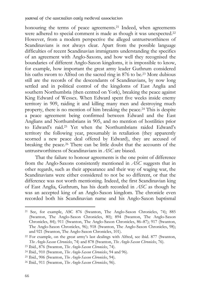honouring the terms of peace agreements.<sup>21</sup> Indeed, when agreements were adhered to special comment is made as though it was unexpected.<sup>22</sup> However, from a modern perspective the alleged untrustworthiness of Scandinavians is not always clear. Apart from the possible language difficulties of recent Scandinavian immigrants understanding the specifics of an agreement with Anglo-Saxons, and how well they recognised the boundaries of different Anglo-Saxon kingdoms, it is impossible to know, for example, how important the great army leader Guthrum considered his oaths sworn to Alfred on the sacred ring in 876 to be.23 More dubious still are the records of the descendants of Scandinavians, by now long settled and in political control of the kingdoms of East Anglia and southern Northumbria (then centred on York), breaking the peace against King Edward of Wessex. When Edward spent five weeks inside enemy territory in 909, raiding it and killing many men and destroying much property, there is no mention of him breaking the peace.24 This is despite a peace agreement being confirmed between Edward and the East Anglians and Northumbrians in 905, and no mention of hostilities prior to Edward's raid.25 Yet when the Northumbrians raided Edward's territory the following year, presumably in retaliation (they apparently scorned a new peace deal offered by Edward), they are accused of breaking the peace.26 There can be little doubt that the accounts of the untrustworthiness of Scandinavians in *ASC* are biased.

That the failure to honour agreements is the one point of difference from the Anglo-Saxons consistently mentioned in *ASC* suggests that in other regards, such as their appearance and their way of waging war, the Scandinavians were either considered to not be so different, or that the difference was not worth mentioning. Indeed, the first Scandinavian king of East Anglia, Guthrum, has his death recorded in *ASC* as though he was an accepted king of an Anglo-Saxon kingdom. The chronicle even recorded both his Scandinavian name and his Anglo-Saxon baptismal

 $\ddot{ }$ 

<sup>21</sup> See, for example, ASC 876 (Swanton, The Anglo-Saxon Chronicles, 74); 885 (Swanton, The Anglo-Saxon Chronicles, 80); 894 (Swanton, The Anglo-Saxon Chronicles, 84); 911 (Swanton, The Anglo-Saxon Chronicles, 86–87); 917 (Swanton, The Anglo-Saxon Chronicles, 96); 918 (Swanton, The Anglo-Saxon Chronicles, 98); and 921 (Swanton, The Anglo-Saxon Chronicles, 101).

<sup>22</sup> For example, on the great army's last dealings with Alfred, see ibid. 877 (Swanton, The Anglo-Saxon Chronicles, 74) and 878 (Swanton, *The Anglo-Saxon Chronicles*, 76).<br><sup>23</sup> Ibid., 876 (Swanton, *The Anglo-Saxon Chronicles*, 74).<br><sup>24</sup> Ibid., 910 (Swanton, *The Anglo-Saxon Chronicles*, 94 and 96).<br><sup>25</sup> Ibi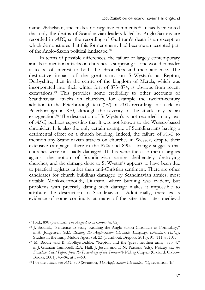name, Æthelstan, and makes no negative comments.27 It has been noted that only the deaths of Scandinavian leaders killed by Anglo-Saxons are recorded in *ASC*, so the recording of Guthrum's death is an exception which demonstrates that this former enemy had become an accepted part of the Anglo-Saxon political landscape.28

In terms of possible differences, the failure of largely contemporary annals to mention attacks on churches is surprising as one would consider it to be of interest to both the chroniclers and their audience. The destructive impact of the great army on St Wystan's at Repton, Derbyshire, then in the centre of the kingdom of Mercia, which was incorporated into their winter fort of 873–874, is obvious from recent excavations.29 This provides some credibility to other accounts of Scandinavian attacks on churches, for example the twelfth-century addition to the Peterborough text ('E') of *ASC* recording an attack on Peterborough in 870, although the severity of the attack may be an exaggeration.30 The destruction of St Wystan's is not recorded in any text of *ASC*, perhaps suggesting that it was not known to the Wessex-based chronicler. It is also the only certain example of Scandinavians having a detrimental effect on a church building. Indeed, the failure of *ASC* to mention any Scandinavian attacks on churches in Wessex, despite their extensive campaigns there in the 870s and 890s, strongly suggests that churches were not badly damaged. If this were the case then it argues against the notion of Scandinavian armies deliberately destroying churches, and the damage done to St Wystan's appears to have been due to practical logistics rather than anti-Christian sentiment. There are other candidates for church buildings damaged by Scandinavian armies, most notable Monkwearmouth, Durham, where burning was evident, but problems with precisely dating such damage makes it impossible to attribute the destruction to Scandinavians. Additionally, there exists evidence of some continuity at many of the sites that later medieval

<sup>27</sup> Ibid., 890 (Swanton, *The Anglo-Saxon Chronicles*, 82). 28 J. Stodnik, "Sentence to Story: Reading the Anglo-Saxon Chronicle as Formulary," in A. Jorgensen (ed.), *Reading the Anglo-Saxon Chronicle: Language, Literature, History*, Studies in the Early Middle Ages, vol. 23 (Turnhout: Brepols, 2010), 91–111, at 101. 29 M. Biddle and B. Kjølbye-Biddle, "Repton and the 'great heathen army' 873–4,"

in J. Graham-Campbell, R.A. Hall, J. Jesch, and D.N. Parsons (eds), *Vikings and the Danelaw: Select Papers from the Proceedings of the Thirteenth Viking Congress* (Oxford: Oxbow Books, 2001), 45–96, at 57–60.

<sup>30</sup> For the attack see *ASC* 870 (Swanton, *The Anglo-Saxon Chronicles*, 71), recension 'E'.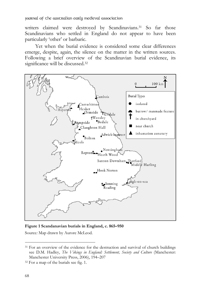Journal of the Australian Early Medieval Association

writers claimed were destroyed by Scandinavians.<sup>31</sup> So far those Scandinavians who settled in England do not appear to have been particularly 'other' or barbaric.

Yet when the burial evidence is considered some clear differences emerge, despite, again, the silence on the matter in the written sources. Following a brief overview of the Scandinavian burial evidence, its significance will be discussed.<sup>32</sup>



**Figure 1 Scandanavian burials in England, c. 865–950**  Source*:* Map drawn by Aurore McLeod.

 $\overline{a}$ 

<sup>&</sup>lt;sup>31</sup> For an overview of the evidence for the destruction and survival of church buildings see D.M. Hadley, *The Vikings in England: Settlement, Society and Culture* (Manchester: Manchester University Press, 2006), 194–207

<sup>32</sup> For a map of the burials see fig. 1.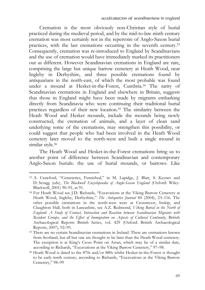Cremation is the most obviously non-Christian style of burial practiced during the medieval period, and by the mid-to-late ninth century cremation was most certainly not in the repertoire of Anglo-Saxon burial practices, with the last cremations occurring in the seventh century.33 Consequently, cremation was re-introduced to England by Scandinavians and the use of cremation would have immediately marked its practitioners out as different. However Scandinavian cremations in England are rare, comprising the large but unique barrow cemetery at Heath Wood, near Ingleby in Derbyshire, and three possible cremations found by antiquarians in the north-east, of which the most probable was found under a mound at Hesket-in-the-Forest, Cumbria.34 The rarity of Scandinavian cremations in England and elsewhere in Britain, suggests that those in England might have been made by migrants embarking directly from Scandinavia who were continuing their traditional burial practices regardless of their new location.35 The similarity between the Heath Wood and Hesket mounds, include the mounds being newly constructed, the cremation of animals, and a layer of clean sand underlying some of the cremations, may strengthen this possibility, or could suggest that people who had been involved in the Heath Wood cemetery later moved to the north-west and built a single mound in similar style.<sup>36</sup>

The Heath Wood and Hesket-in-the-Forest cremations bring us to another point of difference between Scandinavian and contemporary Anglo-Saxon burials: the use of burial mounds, or barrows. Like

<sup>33</sup> S. Crawford, "Cemeteries, Furnished," in M. Lapidge, J. Blair, S. Keynes and D. Scragg (eds), *The Blackwell Encyclopaedia of Anglo-Saxon England* (Oxford: Wiley-Blackwell, 2001) 90–91, at 91.

<sup>34</sup> For Heath Wood see J.D. Richards, "Excavations at the Viking Barrow Cemetery at Heath Wood, Ingleby, Derbyshire," *The Antiquities Journal* 84 (2004), 23–116. The other possible cremations in the north-west were at Crossmoor, Inskip, and Claughton Hall, both in Lancashire, see A.Z. Redmond, *Viking Burial in the North of England: A Study of Contact, Interaction and Reaction between Scandinavian Migrants with Resident Groups, and the Effect of Immigration on Aspects of Cultural Continuity*, British Archaeological Reports British Series, vol. 429 (Oxford: British Archaeological Reports, 2007), 92–95.

<sup>35</sup> There are no certain Scandinavian cremations in Ireland. There are cremations known from Scotland, but all but one are thought to be later than the Heath Wood cemetery. The exception is at King's Cross Point on Arran, which may be of a similar date, according to Richards, "Excavations at the Viking Barrow Cemetery," 97–98. 36 Heath Wood is dated to the 870s and/or 880s whilst Hesket-in-the-Forest is thought

to be early tenth century, according to Richards, "Excavations at the Viking Barrow Cemetery," 98–99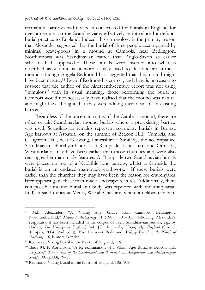cremation, barrows had not been constructed for burials in England for over a century, so the Scandinavians effectively re-introduced a defunct burial practice to England. Indeed, this chronology is the primary reason that Alexander suggested that the burial of three people accompanied by minimal grave-goods in a mound at Cambois, near Bedlington, Northumbria was Scandinavian rather than Anglo-Saxon as earlier scholars had supposed.<sup>37</sup> These burials were inserted into what is described as a tumulus, a word usually used to describe an artificial mound although Angela Redmond has suggested that this mound might have been natural.<sup>38</sup> Even if Redmond is correct, and there is no reason to suspect that the author of the nineteenth-century report was not using "tumulous" with its usual meaning, those performing the burial at Cambois would not necessarily have realised that the mound was natural and might have thought that they were adding their dead to an existing barrow.

Regardless of the uncertain status of the Cambois mound, there are other certain Scandinavian mound burials where a pre-existing barrow was used. Scandinavian remains represent secondary burials in Bronze Age barrows at Aspatria (on the summit of Beacon Hill), Cumbria, and Claughton Hall, near Garstang, Lancashire.39 Similarly, the accompanied Scandinavian churchyard burials at Rampside, Lancashire, and Ormside, Westmorland, may have been earlier than those churches and were also reusing earlier man-made features. At Rampside two Scandinavian burials were placed on top of a Neolithic long barrow, whilst at Ormside the burial is on an undated man-made earthwork.40 If these burials were earlier than the churches they may have been the reason for churchyards later appearing on these man-made landscape features. Additionally, there is a possible mound burial (no body was reported with the antiquarian find) in sand dunes at Meols, Wirral, Cheshire, where a deliberately-bent

 $\overline{a}$ 37 M.L. Alexander, "A 'Viking Age' Grave from Cambois, Bedlington, Northumberland," *Medieval Archaeology* 31 (1987), 101–105. Following Alexander's reappraisal it has been included in the corpus of likely Scandinavian burials, e.g., by Hadley, *The Vikings in England*, 241; J.D. Richards, *Viking Age England* (Stroud: Tempus, 2004 [2nd edn]), 194. However Redmond, *Viking Burial in the North of England*, 116, is more skeptical.<br><sup>38</sup> Redmond, Viking Burial in the North of England, 116.

<sup>39</sup> Ibid., 94; P. Abramson, "A Re-examination of a Viking Age Burial at Beacon Hill, Aspatria," *Transactions of the Cumberland and Westmorland Antiquarian and Archaeological Society* 100 (2000), 79–88. 40 Redmond, Viking Burial in the North of England, 106–108.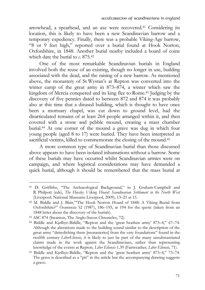arrowhead, a spearhead, and an axe were recovered.41 Considering its location, this is likely to have been a new Scandinavian barrow and a temporary expediency. Finally, there was a probable Viking-Age barrow, "8 or 9 feet high," reported over a burial found at Hook Norton, Oxfordshire, in 1848. Another burial nearby included a hoard of coins which date the burial to *c*. 875.42

One of the most remarkable Scandinavian burials in England involved both the reuse of an existing, though no longer in use, building associated with the dead, and the raising of a new barrow. As mentioned above, the monastery of St Wystan's at Repton was converted into the winter camp of the great army in 873–874, a winter which saw the kingdom of Mercia conquered and its king flee to Rome.43 Judging by the discovery of five pennies dated to between 872 and 874 it was probably also at this time that a disused building, which is thought to have once been a mortuary chapel, was cut down to ground level, had the disarticulated remains of at least 264 people arranged within it, and then covered with a stone and pebble mound, creating a mass chamber burial.44 At one corner of the mound a grave was dug in which four young people (aged 8 to 17) were buried. They have been interpreted as sacrificial victims, killed to commemorate the closing of the mound.<sup>45</sup>

A more common type of Scandinavian burial than those discussed above appears to have been isolated inhumations without a barrow. Some of these burials may have occurred whilst Scandinavian armies were on campaign, and where logistical considerations may have demanded a quick burial, although it should be remembered that the mass burial at

<sup>41</sup> D. Griffiths, "The Archaeological Background," in J. Graham-Campbell and R. Philpott (eds), *The Huxley Viking Hoard: Scandinavian Settlement in the North West* (Liverpool: National Museums Liverpool, 2009), 13–21 at 15. 42 M. Biddle and J. Blair,"'The Hook Norton Hoard of 1848: A Viking Burial from

Oxfordshire?" *Oxoniensia* 52 (1987), 186–195, at 194 for the quote (taken from an 1848 letter about the discovery of the burials).

<sup>43</sup> ASC 874 (Swanton, The Anglo-Saxon Chronicles, 72).

<sup>44</sup> Biddle and Kjølbye-Biddle, "Repton and the 'great heathen army' 873–4," 67–74. Although the alterations made to the building sound similar to the description of the great army "demolishing them [monasteries] from the very foundations" found in the twelfth century *LiberEliensis*, it is likely to just be part of the many unsubstantiated claims made in the work against the Scandinavians, rather than representing knowledge of the events at Repton. *Liber Eliensis* 1.39 (Fairweather, *Liber Eliensis*, 71). 45 Biddle and Kjølbye-Biddle, "Repton and the 'great heathen army' 873–4," 73–74.

The grave is described as a "pit" in the article but the accompanying drawing suggests a grave.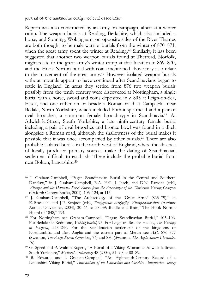Repton was also constructed by an army on campaign, albeit at a winter camp. The weapon burials at Reading, Berkshire, which also included a horse, and Sonning, Wokingham, on opposite sides of the River Thames are both thought to be male warrior burials from the winter of 870–871, when the great army spent the winter at Reading.<sup>46</sup> Similarly, it has been suggested that another two weapon burials found at Thetford, Norfolk, might relate to the great army's winter camp at that location in 869–870, and the Hook Norton burial with coins mentioned above may also relate to the movement of the great army.47 However isolated weapon burials without mounds appear to have continued after Scandinavians began to settle in England. In areas they settled from 876 two weapon burials possibly from the tenth century were discovered at Nottingham, a single burial with a horse, sword and coins deposited in *c*. 895 at Leigh-on-Sea, Essex, and one either on or beside a Roman road at Camp Hill near Bedale, North Yorkshire, which included both a spearhead and a pair of oval brooches, a common female brooch-type in Scandinavia.48 At Adwick-le-Street, South Yorkshire, a late ninth-century female burial including a pair of oval brooches and bronze bowl was found in a ditch alongside a Roman road, although the shallowness of the burial makes it possible that it was once accompanied by other burials.49 There are also probable isolated burials in the north-west of England, where the absence of locally produced primary sources make the dating of Scandinavian settlement difficult to establish. These include the probable burial from near Bolton, Lancashire.50

 $\overline{a}$ 46 J. Graham-Campbell, "Pagan Scandinavian Burial in the Central and Southern Danelaw," in J. Graham-Campbell, R.A. Hall, J. Jesch, and D.N. Parsons (eds), *Vikings and the Danelaw. Select Papers from the Proceedings of the Thirteenth Viking Congress* (Oxford: Oxbow Books, 2001), 105–124, at 115.

<sup>47</sup> J. Graham-Campbell, "The Archaeology of the 'Great Army' (865–79)," in E. Roesdahl and J.P. Schjødt (eds), *Treogtyvende tværfaglige Vikingesymposium* (Aarhus: Aarhus Universitet, 2004), 30–46, at 38–39; Biddle and Blair, "The Hook Norton Hoard of 1848," 194.

<sup>48</sup> For Nottingham see Graham-Campbell, "Pagan Scandinavian Burial," 105–106. For Bedale see Redmond, *Viking Burial*, 95. For Leigh-on-Sea see Hadley, *The Vikings in England*, 243–244. For the Scandinavian settlement of the kingdoms of Northumbria and East Anglia and the eastern part of Mercia see *ASC* 876–877 (Swanton, *The Anglo-Saxon Chronicles*, 74) and 880 (Swanton, *The Anglo-Saxon Chronicles*, 76).

<sup>49</sup> G. Speed and P. Walton Rogers, "A Burial of a Viking Woman at Adwick-le-Street, South Yorkshire," *Medieval Archaeology* 48 (2004), 51–90, at 88–89. 50 B. Edwards and J. Graham-Campbell, "An Eighteenth-Century Record of a

Lancashire Viking Burial," *Transactions of the Lancashire and Cheshire Antiquarian Society*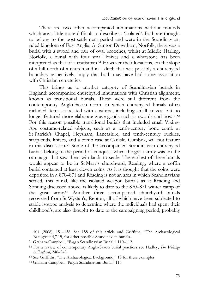There are two other accompanied inhumations without mounds which are a little more difficult to describe as 'isolated'. Both are thought to belong to the post-settlement period and were in the Scandinavianruled kingdom of East Anglia. At Santon Downham, Norfolk, there was a burial with a sword and pair of oval brooches, whilst at Middle Harling, Norfolk, a burial with four small knives and a whetstone has been interpreted as that of a craftsman.51 However their locations, on the slope of a hill north of a church and in a ditch that was possibly a churchyard boundary respectively, imply that both may have had some association with Christian cemeteries.

This brings us to another category of Scandinavian burials in England: accompanied churchyard inhumations with Christian alignment, known as transitional burials. These were still different from the contemporary Anglo-Saxon norm, in which churchyard burials often included items associated with costume, including small knives, but no longer featured more elaborate grave-goods such as swords and bowls.<sup>52</sup> For this reason possible transitional burials that included small Viking-Age costume-related objects, such as a tenth-century bone comb at St Patrick's Chapel, Heysham, Lancashire, and tenth-century buckles, strap-ends, knives, and a comb case at Carlisle, Cumbria, will not feature in this discussion.53 Some of the accompanied Scandinavian churchyard burials belong to the period of conquest when the great army was on the campaign that saw them win lands to settle. The earliest of these burials would appear to be in St Mary's churchyard, Reading, where a coffin burial contained at least eleven coins. As it is thought that the coins were deposited in *c*. 870–871 and Reading is not an area in which Scandinavians settled, this burial, like the isolated weapon burials as at Reading and Sonning discussed above, is likely to date to the 870–871 winter camp of the great army.54 Another three accompanied churchyard burials recovered from St Wystan's, Repton, all of which have been subjected to stable isotope analysis to determine where the individuals had spent their childhood's, are also thought to date to the campaigning period, probably

 $\overline{a}$ 

<sup>104 (2008), 151–158.</sup> See 158 of this article and Griffiths, "The Archaeological Background," 15, for other possible Scandinavian burials.

<sup>51</sup> Graham-Campbell, "Pagan Scandinavian Burial," 110–112. 52 For a review of contemporary Anglo-Saxon burial practices see Hadley, *The Vikings in England*, 246–249.<br><sup>53</sup> See Griffiths, "The Archaeological Background," 16 for these examples.

<sup>54</sup> Graham-Campbell, 'Pagan Scandinavian Burial,' 115.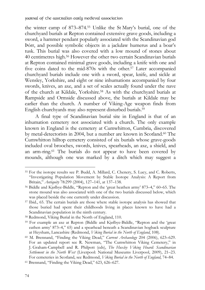the winter camp of 873–874.55 Unlike the St Mary's burial, one of the churchyard burials at Repton contained extensive grave goods, including a sword, a hammer pendant popularly associated with the Scandinavian god Þórr, and possible symbolic objects in a jackdaw humerus and a boar's tusk. This burial was also covered with a low mound of stones about 40 centimetres high.56 However the other two certain Scandinavian burials at Repton contained minimal grave goods, including a knife with one and five coins dated to the mid-870s with the other.57 Later accompanied churchyard burials include one with a sword, spear, knife, and sickle at Wensley, Yorkshire, and eight or nine inhumations accompanied by four swords, knives, an axe, and a set of scales actually found under the nave of the church at Kildale, Yorkshire.58 As with the churchyard burials at Rampside and Ormside discussed above, the burials at Kildale may be earlier than the church. A number of Viking-Age weapon finds from English churchyards may also represent disturbed burials.59

A final type of Scandinavian burial site in England is that of an inhumation cemetery not associated with a church. The only example known in England is the cemetery at Cumwhitton, Cumbria, discovered by metal-detectorists in 2004, but a number are known in Scotland.60 The Cumwhitton hilltop cemetery consisted of six burials whose grave-goods included oval brooches, swords, knives, spearheads, an axe, a shield, and an arm-ring.61 The burials do not appear to have been covered by mounds, although one was marked by a ditch which may suggest a

 $\overline{a}$ 

<sup>55</sup> For the isotope results see P. Budd, A. Millard, C. Chenery, S. Lucy, and C. Roberts, "Investigating Population Movement by Stable Isotope Analysis: A Report from Britain," *Antiquity* 78:299 (2004), 127–141, at 137–138.<br><sup>56</sup> Biddle and Kjølbye-Biddle, "Repton and the 'great heathen army' 873–4," 60–65. The

stone mound was also associated with one of the two burials discussed below, which was placed beside the one currently under discussion.

<sup>57</sup> Ibid., 65. The certain burials are those where stable isotope analysis has showed that those buried had spent their childhoods living in places known to have had a Scandinavian population in the ninth century.

<sup>58</sup> Redmond, Viking Burial in the North of England, 110.

<sup>59</sup> For example an axe at Repton (Biddle and Kjølbye-Biddle, "Repton and the 'great eathen army' 873–4," 65) and a spearhead beneath a Scandinavian hogback sculpture

at Heysham, Lancashire (Redmond, *Viking Burial in the North of England*, 108). 60 M. Brennand, "Finding the Viking Dead," *Current Archaeology* 204 (2006), 623–629. For an updated report see R. Newman, "The Cumwhitton Viking Cemetery," in J. Graham-Campbell and R. Philpott (eds), *The Huxley Viking Hoard: Scandinavian Settlement in the North West* (Liverpool: National Museums Liverpool, 2009), 21–23. For cemeteries in Scotland, see Redmond, *Viking Burial in the North of England*, 74–84. 61 Brennand, "Finding the Viking Dead," 623, 626–627.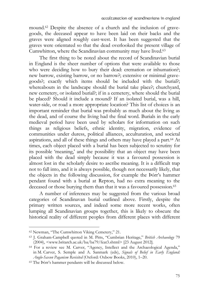mound.62 Despite the absence of a church and the inclusion of gravegoods, the deceased appear to have been laid on their backs and the graves were aligned roughly east-west. It has been suggested that the graves were orientated so that the dead overlooked the present village of Cumwhitton, where the Scandinavian community may have lived.63

The first thing to be noted about the record of Scandinavian burial in England is the sheer number of options that were available to those who were deciding how to bury their dead: cremation or inhumation?; new barrow, existing barrow, or no barrow?; extensive or minimal gravegoods?; exactly which items should be included with the burial?; whereabouts in the landscape should the burial take place?; churchyard, new cemetery, or isolated burial?; if in a cemetery, where should the burial be placed? Should it include a mound? If an isolated burial, was a hill, water-side, or road a more appropriate location? This list of choices is an important reminder that burial was probably as much about the living as the dead, and of course the living had the final word. Burials in the early medieval period have been used by scholars for information on such things as religious beliefs, ethnic identity, migration, evidence of communities under duress, political alliances, acculturation, and societal aspirations, and all of these things and others may have played a part.64 At times, each object placed with a burial has been subjected to scrutiny for its possible 'meaning,' and the possibility that an object may have been placed with the dead simply because it was a favoured possession is almost lost in the scholarly desire to ascribe meaning. It is a difficult trap not to fall into, and it is always possible, though not necessarily likely, that the objects in the following discussion, for example the Þórr's hammer pendant found with a burial at Repton, had no extra meaning to the deceased or those burying them than that it was a favoured possession.<sup>65</sup>

A number of inferences may be suggested from the various broad categories of Scandinavan burial outlined above. Firstly, despite the primary written sources, and indeed some more recent works, often lumping all Scandinavian groups together, this is likely to obscure the historical reality of different peoples from different places with different

<sup>62</sup> Newman, "The Cumwhitton Viking Cemetery," 21.

<sup>63</sup> J. Graham-Campbell quoted in M. Pitts, "Cumbrian Heritage," *British Archaeology* 79

<sup>(2004), &</sup>lt;www.britarch.ac.uk/ba/ba79/feat3.shtml> [23 August 2012]. 64 For a review see M. Carver, "Agency, Intellect and the Archaeological Agenda," in M. Carver, S. Semple and A. Sanmark (eds), *Signals of Belief in Early England: Anglo-Saxon Paganism Revisited* (Oxford: Oxbow Books, 2010), 1–20. 65 The Þórr's hammer pendants will be discussed below.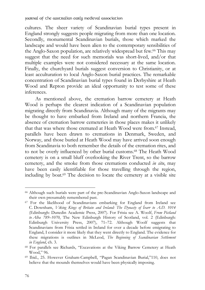cultures. The sheer variety of Scandinavian burial types present in England strongly suggests people migrating from more than one location. Secondly, monumental Scandinavian burials, those which marked the landscape and would have been alien to the contemporary sensibilities of the Anglo-Saxon population, are relatively widespread but few.66 This may suggest that the need for such memorials was short-lived, and/or that multiple examples were not considered necessary at the same location. Finally, the churchyard burials suggest conversion to Christianity, or at least acculturation to local Anglo-Saxon burial practices. The remarkable concentration of Scandinavian burial types found in Derbyshire at Heath Wood and Repton provide an ideal opportunity to test some of these inferences.

As mentioned above, the cremation barrow cemetery at Heath Wood is perhaps the clearest indication of a Scandinavian population migrating directly from Scandinavia. Although many of the migrants may be thought to have embarked from Ireland and northern Francia, the absence of cremation barrow cemeteries in those places makes it unlikely that that was where those cremated at Heath Wood were from.67 Instead, parallels have been drawn to cremations in Denmark, Sweden, and Norway, and those buried at Heath Wood may have arrived soon enough from Scandinavia to both remember the details of the cremation rites, and to not be overly influenced by other burial customs.68 The Heath Wood cemetery is on a small bluff overlooking the River Trent, so the barrow cemetery, and the smoke from those cremations conducted *in situ*, may have been easily identifiable for those travelling through the region, including by boat.69 The decision to locate the cemetery at a visible site

 $\overline{a}$ 

<sup>66</sup> Although such burials were part of the pre-Scandinavian Anglo-Saxon landscape and their own presumably remembered past.

<sup>67</sup> For the likelihood of Scandinavians embarking for England from Ireland see C. Downham, *Viking Kings of Britain and Ireland: The Dynasty of Ívarr to A.D. 1014* (Edinburgh: Dunedin Academic Press, 2007). For Frisia see A. Woolf, *From Pictland to Alba 789–1070*, The New Edinburgh History of Scotland, vol. 2 (Edinburgh: Edinburgh University Press, 2007), 71–72. Although Woolf suggests that Scandinavians from Frisia settled in Ireland for over a decade before emigrating to England, I consider it more likely that they went directly to England. The evidence for these migrations is outlines in McLeod, *The Beginning of Scandinavian Settlement in England*, ch. 3. 68 For parallels see Richards, "Excavations at the Viking Barrow Cemetery at Heath

Wood," 96.

<sup>69</sup> Ibid., 25. However Graham-Campbell, "Pagan Scandinavian Burial,"110, does not believe that the mounds themselves would have been physically imposing.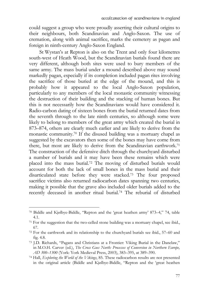could suggest a group who were proudly asserting their cultural origins to their neighbours, both Scandinavian and Anglo-Saxon. The use of cremation, along with animal sacrifice, marks the cemetery as pagan and foreign in ninth-century Anglo-Saxon England.

St Wystan's at Repton is also on the Trent and only four kilometres south-west of Heath Wood, but the Scandinavian burials found there are very different, although both sites were used to bury members of the same army. The mass burial under a mound described above may sound markedly pagan, especially if its completion included pagan rites involving the sacrifice of those buried at the edge of the mound, and this is probably how it appeared to the local Anglo-Saxon population, particularly to any members of the local monastic community witnessing the destruction of their building and the stacking of human bones. But this is not necessarily how the Scandinavians would have considered it. Radio-carbon dating of sixteen bones from the burial returned dates from the seventh through to the late ninth centuries, so although some were likely to belong to members of the great army which created the burial in 873–874, others are clearly much earlier and are likely to derive from the monastic community.70 If the disused building was a mortuary chapel as suggested by the excavators then some of the bones may have come from there, but most are likely to derive from the Scandinavian earthwork.<sup>71</sup> The construction of the defensive ditch through the churchyard disturbed a number of burials and it may have been these remains which were placed into the mass burial.72 The moving of disturbed burials would account for both the lack of small bones in the mass burial and their disarticulated state before they were stacked.73 The four proposed sacrifice victims also returned radiocarbon dates spanning two centuries, making it possible that the grave also included older burials added to the recently deceased in another ritual burial.74 The reburial of disturbed

<sup>70</sup> Biddle and Kjølbye-Biddle, "Repton and the 'great heathen army' 873–4," 74, table 4.1.

<sup>71</sup> For the suggestion that the two-celled stone building was a mortuary chapel, see ibid., 67.

<sup>72</sup> For the earthwork and its relationship to the churchyard burials see ibid., 57–60 and fig. 4.8.

<sup>73</sup> J.D. Richards, "Pagans and Christians at a Frontier: Viking Burial in the Danelaw," in M.O.H. Carver (ed.), *The Cross Goes North: Processes of Conversion in Northern Europe, AD 300–1300* (York: York Medieval Press, 2003), 383–395, at 389–390. 74 Hall, *Exploring the World of the Vikings*, 85. These radiocarbon results are not presented

in the original article (Biddle and Kjølbye-Biddle, "Repton and the 'great heathen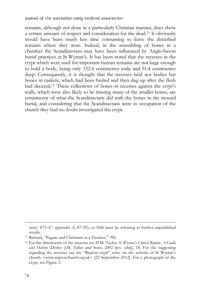remains, although not done in a particularly Christian manner, does show a certain amount of respect and consideration for the dead.75 It obviously would have been much less time consuming to leave the disturbed remains where they were. Indeed, in the assembling of bones in a chamber the Scandinavians may have been influenced by Anglo-Saxon burial practices at St Wystan's. It has been noted that the recesses in the crypt which were used for important human remains are not large enough to hold a body, being only 152.4 centimetres wide and 91.4 centimetres deep. Consequently, it is thought that the recesses held not bodies but bones in caskets, which had been buried and then dug up after the flesh had decayed.76 These collections of bones in recesses against the crypt's walls, which were also likely to be missing many of the smaller bones, are reminiscent of what the Scandinavians did with the bones in the mound burial, and considering that the Scandinavians were in occupation of the church they had no doubt investigated the crypt.

 $\ddot{ }$ 

army' 873–4," appendix A, 87–92), so Hall must be referring to further unpublished results.

<sup>75</sup> Richard, "Pagans and Christians at a Frontier," 390.

<sup>76</sup> For the dimensions of the recesses see H.M. Taylor, *St Wystan's Church Repton: A Guide and History* (Derby: J.M. Tatler and Sons, 2002 [rev. edn]), 18. For the suggesting regarding the recesses see the "Repton crypt" entry on the website of St Wystan's church <www.reptonchurch.org.uk> [22 September 2012]. For a photograph of the crypt, see Figure 2.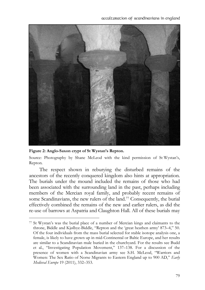

**Figure 2: Anglo-Saxon crypt of St Wystan's Repton.** 

-

Source: Photography by Shane McLeod with the kind permission of St Wystan's, Repton.

The respect shown in reburying the disturbed remains of the ancestors of the recently conquered kingdom also hints at appropriation. The burials under the mound included the remains of those who had been associated with the surrounding land in the past, perhaps including members of the Mercian royal family, and probably recent remains of some Scandinavians, the new rulers of the land.77 Consequently, the burial effectively combined the remains of the new and earlier rulers, as did the re-use of barrows at Aspatria and Claughton Hall. All of these burials may

<sup>77</sup> St Wystan's was the burial place of a number of Mercian kings and claimants to the throne, Biddle and Kjølbye-Biddle, "Repton and the 'great heathen army' 873–4," 50. Of the four individuals from the mass burial selected for stable isotope analysis one, a female, is likely to have grown up in mid-Continental or Baltic Europe, and her results are similar to a Scandinavian male buried in the churchyard. For the results see Budd et al., "Investigating Population Movement," 137–138. For a discussion of the presence of women with a Scandinavian army see S.H. McLeod, "Warriors and Women: The Sex Ratio of Norse Migrants to Eastern England up to 900 AD," *Early Medieval Europe* 19 (2011), 332–353.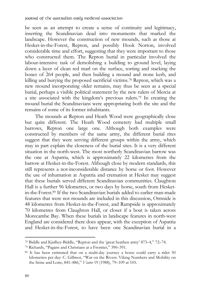be seen as an attempt to create a sense of continuity and legitimacy, inserting the Scandinavian dead into monuments that marked the landscape. However the construction of new mounds, such as those at Hesket-in-the-Forest, Repton, and possibly Hook Norton, involved considerable time and effort, suggesting that they were important to those who constructed them. The Repton burial in particular involved the labour-intensive task of demolishing a building to ground level, laying down a layer of clean red marl on the surface, sorting and stacking the bones of 264 people, and then building a mound and stone kerb, and killing and burying the proposed sacrificial victims.78 Repton, which was a new mound incorporating older remains, may thus be seen as a special burial, perhaps a visible political statement by the new rulers of Mercia at a site associated with the kingdom's previous rulers.79 In creating the mound burial the Scandinavians were appropriating both the site and the remains of some of its former inhabitants.

The mounds at Repton and Heath Wood were geographically close but quite different. The Heath Wood cemetery had multiple small barrows, Repton one large one. Although both examples were constructed by members of the same army, the different burial rites suggest that they were serving different groups within the army, which may in part explain the closeness of the burial sites. It is a very different situation in the north-west. The most northerly Scandinavian barrow was the one at Aspatria, which is approximately 22 kilometres from the barrow at Hesket-in-the-Forest. Although close by modern standards, this still represents a not-inconsiderable distance by horse or foot. However the use of inhumation at Aspatria and cremation at Hesket may suggest that these burials served different Scandinavian communities. Claughton Hall is a further 96 kilometres, or two days by horse, south from Hesketin-the-Forest.80 If the two Scandinavian burials added to earlier man-made features that were not mounds are included in this discussion, Ormside is 48 kilometres from Hesket-in-the-Forest, and Rampside is approximately 70 kilometres from Claughton Hall, or closer if a boat is taken across Morecambe Bay. When these burials in landscape features in north-west England are considered there does appear, with the exception of Aspatria and Hesket-in-the-Forest, to have been one Scandinavian burial in a

 $\ddot{ }$ 78 Biddle and Kjølbye-Biddle, "Repton and the 'great heathen army' 873–4," 72–74. 79 Richards, "Pagans and Christians at a Frontier," 390–391.

<sup>80</sup> It has been estimated that on a multi-day journey a horse could carry a rider 50 kilometres per day: C. Gillmor, "War on the Rivers: Viking Numbers and Mobility on the Seine and Loire, 841–886," *Viator* 19 (1988), 79–109 at 105.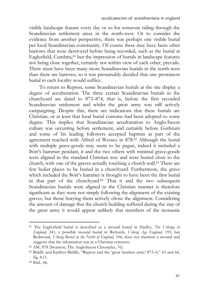visible landscape feature every day or so for someone riding through the Scandinavian settlement areas in the north-west. Or to consider the evidence from another perspective, there was perhaps one visible burial per local Scandinavian community. Of course there may have been other barrows that were destroyed before being recorded, such as the burial at Eaglesfield, Cumbria, <sup>81</sup> but the impression of burials in landscape features not being close together, certainly not within view of each other, prevails. There must have been many more Scandinavian burials in the north-west than there are barrows, so it was presumably decided that one prominent burial in each locality would suffice.

To return to Repton, some Scandinavian burials at the site display a degree of acculturation. The three certain Scandinavian burials in the churchyard are dated to 873–874, that is, before the first recorded Scandinavian settlement and whilst the great army was still actively campaigning. Despite this, there are indications that these burials are Christian, or at least that local burial customs had been adopted to some degree. This implies that Scandinavian acculturation to Anglo-Saxon culture was occurring before settlement, and certainly before Guthrum and some of his leading followers accepted baptism as part of the agreement reached with Alfred of Wessex in 878.82 Although the burial with multiple grave-goods may seem to be pagan, indeed it included a Þórr's hammer pendant, it and the two others with minimal grave-goods were aligned in the standard Christian way and were buried close to the church, with one of the graves actually touching a church wall.83 There are few holier places to be buried in a churchyard. Furthermore, the grave which included the Þórr's hammer is thought to have been the first burial in that part of the churchyard.84 That it and the two subsequent Scandinavian burials were aligned in the Christian manner is therefore significant as they were not simply following the alignment of the existing graves, but those burying them actively chose the alignment. Considering the amount of damage that the church building suffered during the stay of the great army it would appear unlikely that members of the monastic

<sup>81</sup> The Eaglesfield burial is described as a mound burial in Hadley, *The Vikings in England*, 241, a possible mound burial in Richards, *Viking Age England*, 193, but Redmond, *Viking Burial in the North of England*, 106, does not mention a mound and suggests that the inhumation was in a Christian cemetery.

<sup>82</sup> ASC 878 (Swanton, The AngloSaxon Chronicles, 76).

<sup>83</sup> Biddle and Kjølbye-Biddle, "Repton and the 'great heathen army' 873–4," 61 and 66, fig. 4.11.

<sup>84</sup> Ibid., 66.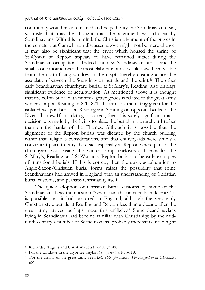community would have remained and helped bury the Scandinavian dead, so instead it may be thought that the alignment was chosen by Scandinavians. With this in mind, the Christian alignment of the graves in the cemetery at Cumwhitton discussed above might not be mere chance. It may also be significant that the crypt which housed the shrine of St Wystan at Repton appears to have remained intact during the Scandinavian occupation.<sup>85</sup> Indeed, the new Scandinavian burials and the small stone mound over the most elaborate burial would have been visible from the north-facing window in the crypt, thereby creating a possible association between the Scandinavian burials and the saint.86 The other early Scandinavian churchyard burial, at St Mary's, Reading, also displays significant evidence of acculturation. As mentioned above it is thought that the coffin burial with minimal grave goods is related to the great army winter camp at Reading in 870–871, the same as the dating given for the isolated weapon burials at Reading and Sonning on opposite banks of the River Thames. If this dating is correct, then it is surely significant that a decision was made by the living to place the burial in a churchyard rather than on the banks of the Thames. Although it is possible that the alignment of the Repton burials was dictated by the church building rather than religious considerations, and that churchyards were simply a convenient place to bury the dead (especially at Repton where part of the churchyard was inside the winter camp enclosure), I consider the St Mary's, Reading, and St Wystan's, Repton burials to be early examples of transitional burials. If this is correct, then the quick acculturation to Anglo-Saxon/Christian burial forms raises the possibility that some Scandinavians had arrived in England with an understanding of Christian burial customs, and perhaps Christianity itself.

The quick adoption of Christian burial customs by some of the Scandinavians begs the question "where had the practice been learnt?" It is possible that it had occurred in England, although the very early Christian-style burials at Reading and Repton less than a decade after the great army arrived perhaps make this unlikely.87 Some Scandinavians living in Scandinavia had become familiar with Christianity: by the midninth century a number of Scandinavians, probably merchants, residing at

 $\ddot{ }$ 

<sup>85</sup> Richards, "Pagans and Christians at a Frontier," 388.

<sup>86</sup> For the windows in the crypt see Taylor, *St Wystan's Church*, 18. 87 For the arrival of the great army see *ASC* 866 (Swanton, *The Anglo-Saxon Chronicles*, 68).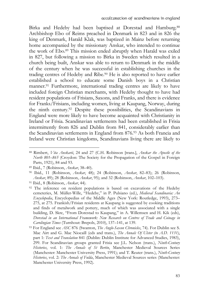Birka and Hedeby had been baptised at Dorestad and Hamburg.88 Archbishop Ebo of Reims preached in Denmark in 823 and in 826 the king of Denmark, Harald Klak, was baptized in Mainz before returning home accompanied by the missionary Anskar, who intended to continue the work of Ebo.89 This mission ended abruptly when Harald was exiled in 827, but following a mission to Birka in Sweden which resulted in a church being built, Anskar was able to return to Denmark in the middle of the century when he was successful in establishing churches in the trading centres of Hedeby and Ribe.90 He is also reported to have earlier established a school to educate some Danish boys in a Christian manner.91 Furthermore, international trading centres are likely to have included foreign Christian merchants, with Hedeby thought to have had resident populations of Frisians, Saxons, and Franks, and there is evidence for Franks/Frisians, including women, living at Kaupang, Norway, during the ninth century.92 Despite these possibilities, the Scandinavians in England were more likely to have become acquainted with Christianity in Ireland or Frisia. Scandinavian settlements had been established in Frisia intermittently from 826 and Dublin from 841, considerably earlier than the Scandinavian settlements in England from 876.93 As both Francia and Ireland were Christian kingdoms, Scandinavians living there are likely to

<sup>88</sup> Rimbert, *Vita Anskarii*, 24 and 27 (C.H. Robinson [trans.], *Anskar the Apostle of the North 801–865* (Croydon: The Society for the Propagation of the Gospel in Foreign Parts, 1921), 84 and 93.

<sup>89</sup> Ibid., 7 (Robinson, *Anskar*, 38–40). 90 Ibid., 11 (Robinson, *Anskar*, 48); 24 (Robinson, *Anskar*, 82–83); 26 (Robinson, *Anskar*, 89); 28 (Robinson, *Anskar*, 95); and 32 (Robinson, *Anskar*, 102–103).<br><sup>91</sup> Ibid., 8 (Robinson, *Anskar*, 44).<br><sup>92</sup> The inference on resident populations is based on excavations of the Hedeby

cemeteries, M. Müller-Wille, "Hedeby," in P. Pulsiano (ed.), *Medieval Scandinavia: An Encyclopedia*, Encyclopedias of the Middle Ages (New York: Routledge, 1993), 273– 275, at 275. Frankish/Frisian residents at Kaupang is suggested by cooking traditions and finds of metalwork and pottery, much of which was associated with a single building, D. Skre, "From Dorestad to Kaupang," in A. Willemsen and H. Kik (eds), *Dorestad in an International Framework: New Research on Centres of Trade and Coinage in Carolingian Times* (Turnhout: Brepols, 2010), 137–141, at 139.<br><sup>93</sup> For England see *ASC* 876 (Swanton, *The Anglo-Saxon Chronicles*, 74). For Dublin see S.

Mac Airt and G. Mac Niocaill (eds and trans.), *The Annals Of Ulster (to A.D. 1131)*, part 1: *Text and Translation* 841 (Dublin: Dublin Institute for Advanced Studies, 1983), 299. For Scandinavian groups granted Frisia see J.L. Nelson (trans.), *Ninth-Century Histories*, vol. 1: *The Annals of St Bertin*, Manchester Medieval Sources Series (Manchester: Manchester University Press, 1991); and T. Reuter (trans.), *Ninth-Century Histories*, vol. 2: *The Annals of Fulda*, Manchester Medieval Sources series (Manchester: Manchester University Press, 1992).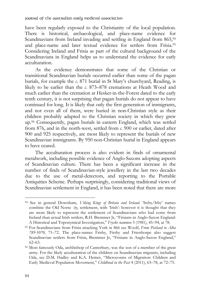have been regularly exposed to the Christianity of the local population. There is historical, archaeological, and place-name evidence for Scandinavians from Ireland invading and settling in England from 865,94 and place-name and later textual evidence for settlers from Frisia.95 Considering Ireland and Frisia as part of the cultural background of the Scandinavians in England helps us to understand the evidence for early acculturation.

As the evidence demonstrates that some of the Christian or transitional Scandinavian burials occurred earlier than some of the pagan burials, for example the *c*. 871 burial in St Mary's churchyard, Reading, is likely to be earlier than the *c*. 873–878 cremations at Heath Wood and much earlier than the cremation at Hesket-in-the-Forest dated to the early tenth century, it is not surprising that pagan burials do not appear to have continued for long. It is likely that only the first generation of immigrants, and not even all of them, were buried in non-Christian style as their children probably adapted to the Christian society in which they grew up.96 Consequently, pagan burials in eastern England, which was settled from 876, and in the north-west, settled from *c*. 900 or earlier, dated after 900 and 925 respectively, are most likely to represent the burials of new Scandinavian immigrants. By 950 non-Christian burial in England appears to have ceased.

The acculturation process is also evident in finds of ornamental metalwork, including possible evidence of Anglo-Saxons adopting aspects of Scandinavian culture. There has been a significant increase in the number of finds of Scandinavian-style jewellery in the last two decades due to the use of metal-detectors, and reporting to the Portable Antiquities Scheme. Perhaps surprisingly, considering traditional views of Scandinavian settlement in England, it has been noted that there are more

 $\ddot{ }$ 

<sup>94</sup> See in general Downham, *Viking Kings of Britain and Ireland*. 'Ireby/Irby' names combine the Old Norse -*by*, settlement, with 'Irish': however it is thought that they are more likely to represent the settlement of Scandinavians who had come from Ireland than actual Irish settlers, R.H. Bremmer Jr, "Frisians in Anglo-Saxon England:

A Historical and Toponymical Investigation," *Fryske nammen* 3 (1981), 45–94, at 78. 95 For Scandinavians from Frisia attacking York in 866 see Woolf, *From Pictland to Alba 789-1070*, 71–72. The place-names Frisby, Firsby and Friesthorpe also suggest Scandinavian settlers from Frisia, Bremmer Jr, "Frisians in Anglo-Saxon England," 62–63.

<sup>96</sup> Most famously Oda, archbishop of Canterbury, was the son of a member of the great army. For the likely acculturation of the children on Scandinavian migrants, including Oda, see D.M. Hadley and K.A. Hemer, "Microcosms of Migration: Children and Early Medieval Population Movement," *Childhood in the Past* 4 (2011), 63–78, at 72–75.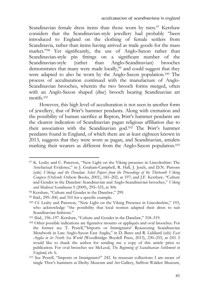Scandinavian female dress items than those worn by men.<sup>97</sup> Kershaw considers that the Scandinavian-style jewellery had probably "been introduced to England on the clothing of female settlers from Scandinavia, rather than items having arrived as trade goods for the mass market."98 Yet significantly, the use of Anglo-Saxon rather than Scandinavian-style pin fittings on a significant number of the Scandinavian-style (rather than Anglo-Scandinavian) brooches demonstrates that many were made locally,<sup>99</sup> and could suggest that they were adapted to also be worn by the Anglo-Saxon population.100 The process of acculturation continued with the manufacture of Anglo-Scandinavian brooches, wherein the two brooch forms merged, often with an Anglo-Saxon shaped (disc) brooch bearing Scandinavian art motifs<sup>101</sup>

However, this high level of acculturation is not seen in another form of jewellery, that of Þórr's hammer pendants. Along with cremation and the possibility of human sacrifice at Repton, Þórr's hammer pendants are the clearest indication of Scandinavian pagan religious affiliation due to their association with the Scandinavian god.102 The Þórr's hammer pendants found in England, of which there are at least eighteen known in 2013, suggests that they were worn as pagan, and Scandinavian, amulets marking their wearers as different from the Anglo-Saxon population.103

<sup>97</sup> K. Leahy and C. Paterson, "New Light on the Viking presence in Lincolnshire: The Artefactual Evidence," in J. Graham-Campbell, R. Hall, J. Jesch, and D.N. Parsons (eds) *Vikings and the Danelaw: Select Papers from the Proceedings of the Thirteenth Viking Congress* (Oxford: Oxbow Books, 2001), 181–202, at 197; and J.F. Kershaw, "Culture and Gender in the Danelaw: Scandinavian and Anglo-Scandinavian brooches," *Viking and Medieval Scandinavia* 5 (2009), 295–325, at 306. 98 Kershaw, "Culture and Gender in the Danelaw," 299.

<sup>99</sup> Ibid., 299–300, and 310 for a specific example.

<sup>100</sup> Cf. Leahy and Paterson, "New Light on the Viking Presence in Lincolnshire," 193, who acknowledge "the possibility that local women adapted their dress to suit Scandinavian fashions."

<sup>101</sup> Ibid., 196–197. Kershaw, "Culture and Gender in the Danelaw," 318–319.

<sup>102</sup> Other possible indications are figurative mounts or appliqués and oval brooches. For the former see T. Pestell,"'Imports or Immigrants? Reassessing Scandinavian Metalwork in Late Anglo-Saxon East Anglia," in D. Bates and R. Liddiard (eds) *East Anglia in its North Sea World* (Woodbridge: Boydell Press, 2013), 230–255, at 243. I would like to thank the author for sending me a copy of this article prior to publication. For oval brooches see McLeod, *The Beginning of Scandinavian Settlement in England*, ch. 6.<br><sup>103</sup> See Pestell, "Imports or Immigrants?" 242. In museum collections I am aware of

single Thor's hammers at Derby Museum and Art Gallery, Saffron Walden Museum,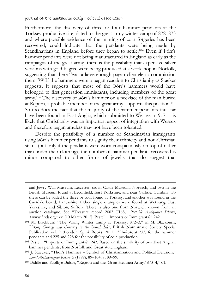Furthermore, the discovery of three or four hammer pendants at the Torksey productive site, dated to the great army winter camp of 872–873 and where possible evidence of the minting of coin forgeries has been recovered, could indicate that the pendants were being made by Scandinavians in England before they began to settle.104 Even if Þórr's hammer pendants were not being manufactured in England as early as the campaigns of the great army, there is the possibility that expensive silver versions with gold filigree were being produced at a workshop in Norfolk, suggesting that there "was a large enough pagan clientele to commission them."105 If the hammers were a pagan reaction to Christianity as Staeker suggests, it suggests that most of the Þórr's hammers would have belonged to first generation immigrants, including members of the great army.106 The discovery of Þórr's hammer on a necklace of the man buried at Repton, a probable member of the great army, supports this position.107 So too does the fact that the majority of the hammer pendants thus far have been found in East Anglia, which submitted to Wessex in 917: it is likely that Christianity was an important aspect of integration with Wessex and therefore pagan amulets may not have been tolerated.

Despite the possibility of a number of Scandinavian immigrants using Þórr's hammer pendants to signify their ethnicity and non-Christian status (but only if the pendants were worn conspicuously on top of rather than under their clothing), the number of hammer pendants recovered is minor compared to other forms of jewelry that do suggest that

 $\ddot{ }$ 

and Jewry Wall Museum, Leicester, six in Castle Museum, Norwich, and two in the British Museum found at Leconfield, East Yorkshire, and near Carlisle, Cumbria. To these can be added the three or four found at Torksey, and another was found in the Cuerdale hoard, Lancashire. Other single examples were found at Wetwang, East Yorkshire, and Sibton, Suffolk. There is also one from Norwich known from an auction catalogue. See "Treasure record 2002 T168," *Portable Antiquities Scheme*, <www.finds.org.uk> [10 March 2012]; Pestell, "Imports or Immigrants?" 242.

<sup>104</sup> M. Blackburn "The Viking Winter Camp at Torksey, 872–3," in M. Blackburn, *Viking Coinage and Currency in the British Isles*, British Numismatic Society Special Publication, vol. 7 (London: Spink Books, 2011), 221–264, at 233, for the hammer pendants and 225 and 228 for the possibility of coin production.

<sup>105</sup> Pestell, "Imports or Immigrants?" 242. Based on the similarity of two East Anglian hammer pendants, from Norfolk and Great Witchingham.

<sup>106</sup> J. Staecker, "Thor's Hammer – Symbol of Christianization and Political Delusion," *Lund Archaeological Review* 5 (1999), 89–104, at 89–99.<br><sup>107</sup> Biddle and Kjølbye-Biddle, "Repton and the 'Great Heathen Army,' 873–4," 61.